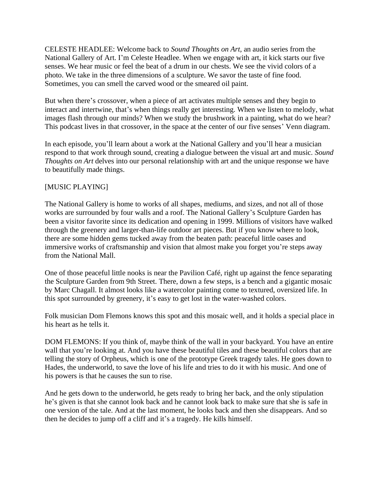CELESTE HEADLEE: Welcome back to *Sound Thoughts on Art,* an audio series from the National Gallery of Art. I'm Celeste Headlee. When we engage with art, it kick starts our five senses. We hear music or feel the beat of a drum in our chests. We see the vivid colors of a photo. We take in the three dimensions of a sculpture. We savor the taste of fine food. Sometimes, you can smell the carved wood or the smeared oil paint.

But when there's crossover, when a piece of art activates multiple senses and they begin to interact and intertwine, that's when things really get interesting. When we listen to melody, what images flash through our minds? When we study the brushwork in a painting, what do we hear? This podcast lives in that crossover, in the space at the center of our five senses' Venn diagram.

In each episode, you'll learn about a work at the National Gallery and you'll hear a musician respond to that work through sound, creating a dialogue between the visual art and music. *Sound Thoughts on Art* delves into our personal relationship with art and the unique response we have to beautifully made things.

## [MUSIC PLAYING]

The National Gallery is home to works of all shapes, mediums, and sizes, and not all of those works are surrounded by four walls and a roof. The National Gallery's Sculpture Garden has been a visitor favorite since its dedication and opening in 1999. Millions of visitors have walked through the greenery and larger-than-life outdoor art pieces. But if you know where to look, there are some hidden gems tucked away from the beaten path: peaceful little oases and immersive works of craftsmanship and vision that almost make you forget you're steps away from the National Mall.

One of those peaceful little nooks is near the Pavilion Café, right up against the fence separating the Sculpture Garden from 9th Street. There, down a few steps, is a bench and a gigantic mosaic by Marc Chagall. It almost looks like a watercolor painting come to textured, oversized life. In this spot surrounded by greenery, it's easy to get lost in the water-washed colors.

Folk musician Dom Flemons knows this spot and this mosaic well, and it holds a special place in his heart as he tells it.

DOM FLEMONS: If you think of, maybe think of the wall in your backyard. You have an entire wall that you're looking at. And you have these beautiful tiles and these beautiful colors that are telling the story of Orpheus, which is one of the prototype Greek tragedy tales. He goes down to Hades, the underworld, to save the love of his life and tries to do it with his music. And one of his powers is that he causes the sun to rise.

And he gets down to the underworld, he gets ready to bring her back, and the only stipulation he's given is that she cannot look back and he cannot look back to make sure that she is safe in one version of the tale. And at the last moment, he looks back and then she disappears. And so then he decides to jump off a cliff and it's a tragedy. He kills himself.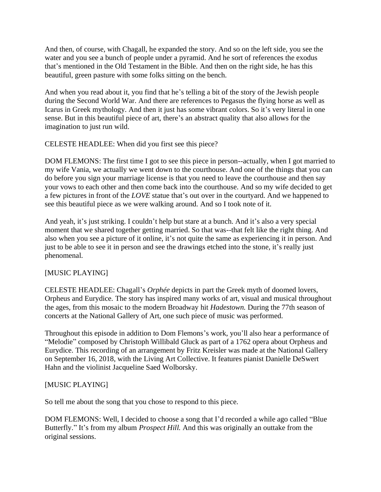And then, of course, with Chagall, he expanded the story. And so on the left side, you see the water and you see a bunch of people under a pyramid. And he sort of references the exodus that's mentioned in the Old Testament in the Bible. And then on the right side, he has this beautiful, green pasture with some folks sitting on the bench.

And when you read about it, you find that he's telling a bit of the story of the Jewish people during the Second World War. And there are references to Pegasus the flying horse as well as Icarus in Greek mythology. And then it just has some vibrant colors. So it's very literal in one sense. But in this beautiful piece of art, there's an abstract quality that also allows for the imagination to just run wild.

CELESTE HEADLEE: When did you first see this piece?

DOM FLEMONS: The first time I got to see this piece in person--actually, when I got married to my wife Vania, we actually we went down to the courthouse. And one of the things that you can do before you sign your marriage license is that you need to leave the courthouse and then say your vows to each other and then come back into the courthouse. And so my wife decided to get a few pictures in front of the *LOVE* statue that's out over in the courtyard. And we happened to see this beautiful piece as we were walking around. And so I took note of it.

And yeah, it's just striking. I couldn't help but stare at a bunch. And it's also a very special moment that we shared together getting married. So that was--that felt like the right thing. And also when you see a picture of it online, it's not quite the same as experiencing it in person. And just to be able to see it in person and see the drawings etched into the stone, it's really just phenomenal.

## [MUSIC PLAYING]

CELESTE HEADLEE: Chagall's *Orphée* depicts in part the Greek myth of doomed lovers, Orpheus and Eurydice. The story has inspired many works of art, visual and musical throughout the ages, from this mosaic to the modern Broadway hit *Hadestown.* During the 77th season of concerts at the National Gallery of Art, one such piece of music was performed.

Throughout this episode in addition to Dom Flemons's work, you'll also hear a performance of "Melodie" composed by Christoph Willibald Gluck as part of a 1762 opera about Orpheus and Eurydice. This recording of an arrangement by Fritz Kreisler was made at the National Gallery on September 16, 2018, with the Living Art Collective. It features pianist Danielle DeSwert Hahn and the violinist Jacqueline Saed Wolborsky.

## [MUSIC PLAYING]

So tell me about the song that you chose to respond to this piece.

DOM FLEMONS: Well, I decided to choose a song that I'd recorded a while ago called "Blue Butterfly." It's from my album *Prospect Hill.* And this was originally an outtake from the original sessions.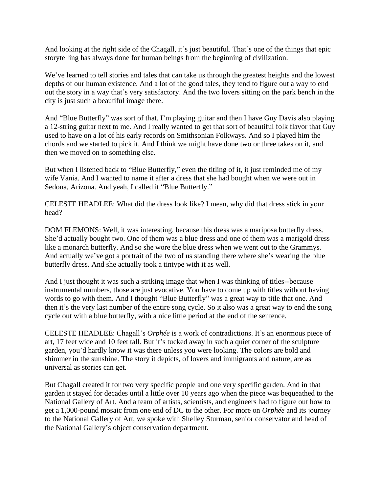And looking at the right side of the Chagall, it's just beautiful. That's one of the things that epic storytelling has always done for human beings from the beginning of civilization.

We've learned to tell stories and tales that can take us through the greatest heights and the lowest depths of our human existence. And a lot of the good tales, they tend to figure out a way to end out the story in a way that's very satisfactory. And the two lovers sitting on the park bench in the city is just such a beautiful image there.

And "Blue Butterfly" was sort of that. I'm playing guitar and then I have Guy Davis also playing a 12-string guitar next to me. And I really wanted to get that sort of beautiful folk flavor that Guy used to have on a lot of his early records on Smithsonian Folkways. And so I played him the chords and we started to pick it. And I think we might have done two or three takes on it, and then we moved on to something else.

But when I listened back to "Blue Butterfly," even the titling of it, it just reminded me of my wife Vania. And I wanted to name it after a dress that she had bought when we were out in Sedona, Arizona. And yeah, I called it "Blue Butterfly."

CELESTE HEADLEE: What did the dress look like? I mean, why did that dress stick in your head?

DOM FLEMONS: Well, it was interesting, because this dress was a mariposa butterfly dress. She'd actually bought two. One of them was a blue dress and one of them was a marigold dress like a monarch butterfly. And so she wore the blue dress when we went out to the Grammys. And actually we've got a portrait of the two of us standing there where she's wearing the blue butterfly dress. And she actually took a tintype with it as well.

And I just thought it was such a striking image that when I was thinking of titles--because instrumental numbers, those are just evocative. You have to come up with titles without having words to go with them. And I thought "Blue Butterfly" was a great way to title that one. And then it's the very last number of the entire song cycle. So it also was a great way to end the song cycle out with a blue butterfly, with a nice little period at the end of the sentence.

CELESTE HEADLEE: Chagall's *Orphée* is a work of contradictions. It's an enormous piece of art, 17 feet wide and 10 feet tall. But it's tucked away in such a quiet corner of the sculpture garden, you'd hardly know it was there unless you were looking. The colors are bold and shimmer in the sunshine. The story it depicts, of lovers and immigrants and nature, are as universal as stories can get.

But Chagall created it for two very specific people and one very specific garden. And in that garden it stayed for decades until a little over 10 years ago when the piece was bequeathed to the National Gallery of Art. And a team of artists, scientists, and engineers had to figure out how to get a 1,000-pound mosaic from one end of DC to the other. For more on *Orphée* and its journey to the National Gallery of Art, we spoke with Shelley Sturman, senior conservator and head of the National Gallery's object conservation department.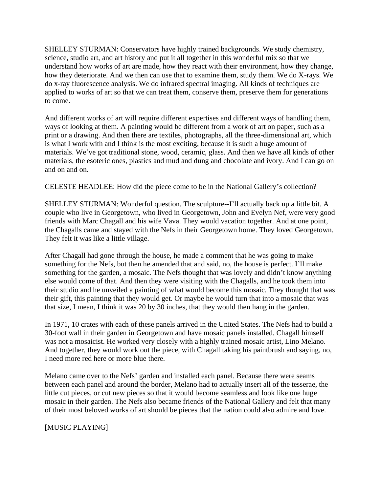SHELLEY STURMAN: Conservators have highly trained backgrounds. We study chemistry, science, studio art, and art history and put it all together in this wonderful mix so that we understand how works of art are made, how they react with their environment, how they change, how they deteriorate. And we then can use that to examine them, study them. We do X-rays. We do x-ray fluorescence analysis. We do infrared spectral imaging. All kinds of techniques are applied to works of art so that we can treat them, conserve them, preserve them for generations to come.

And different works of art will require different expertises and different ways of handling them, ways of looking at them. A painting would be different from a work of art on paper, such as a print or a drawing. And then there are textiles, photographs, all the three-dimensional art, which is what I work with and I think is the most exciting, because it is such a huge amount of materials. We've got traditional stone, wood, ceramic, glass. And then we have all kinds of other materials, the esoteric ones, plastics and mud and dung and chocolate and ivory. And I can go on and on and on.

CELESTE HEADLEE: How did the piece come to be in the National Gallery's collection?

SHELLEY STURMAN: Wonderful question. The sculpture--I'll actually back up a little bit. A couple who live in Georgetown, who lived in Georgetown, John and Evelyn Nef, were very good friends with Marc Chagall and his wife Vava. They would vacation together. And at one point, the Chagalls came and stayed with the Nefs in their Georgetown home. They loved Georgetown. They felt it was like a little village.

After Chagall had gone through the house, he made a comment that he was going to make something for the Nefs, but then he amended that and said, no, the house is perfect. I'll make something for the garden, a mosaic. The Nefs thought that was lovely and didn't know anything else would come of that. And then they were visiting with the Chagalls, and he took them into their studio and he unveiled a painting of what would become this mosaic. They thought that was their gift, this painting that they would get. Or maybe he would turn that into a mosaic that was that size, I mean, I think it was 20 by 30 inches, that they would then hang in the garden.

In 1971, 10 crates with each of these panels arrived in the United States. The Nefs had to build a 30-foot wall in their garden in Georgetown and have mosaic panels installed. Chagall himself was not a mosaicist. He worked very closely with a highly trained mosaic artist, Lino Melano. And together, they would work out the piece, with Chagall taking his paintbrush and saying, no, I need more red here or more blue there.

Melano came over to the Nefs' garden and installed each panel. Because there were seams between each panel and around the border, Melano had to actually insert all of the tesserae, the little cut pieces, or cut new pieces so that it would become seamless and look like one huge mosaic in their garden. The Nefs also became friends of the National Gallery and felt that many of their most beloved works of art should be pieces that the nation could also admire and love.

[MUSIC PLAYING]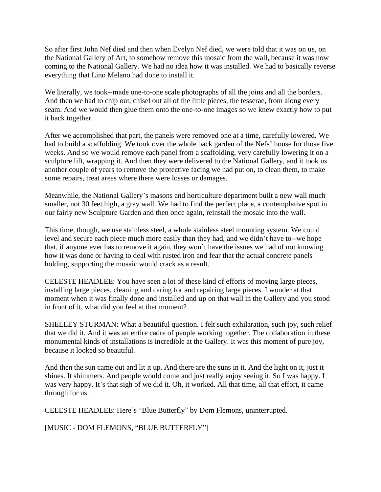So after first John Nef died and then when Evelyn Nef died, we were told that it was on us, on the National Gallery of Art, to somehow remove this mosaic from the wall, because it was now coming to the National Gallery. We had no idea how it was installed. We had to basically reverse everything that Lino Melano had done to install it.

We literally, we took--made one-to-one scale photographs of all the joins and all the borders. And then we had to chip out, chisel out all of the little pieces, the tesserae, from along every seam. And we would then glue them onto the one-to-one images so we knew exactly how to put it back together.

After we accomplished that part, the panels were removed one at a time, carefully lowered. We had to build a scaffolding. We took over the whole back garden of the Nefs' house for those five weeks. And so we would remove each panel from a scaffolding, very carefully lowering it on a sculpture lift, wrapping it. And then they were delivered to the National Gallery, and it took us another couple of years to remove the protective facing we had put on, to clean them, to make some repairs, treat areas where there were losses or damages.

Meanwhile, the National Gallery's masons and horticulture department built a new wall much smaller, not 30 feet high, a gray wall. We had to find the perfect place, a contemplative spot in our fairly new Sculpture Garden and then once again, reinstall the mosaic into the wall.

This time, though, we use stainless steel, a whole stainless steel mounting system. We could level and secure each piece much more easily than they had, and we didn't have to--we hope that, if anyone ever has to remove it again, they won't have the issues we had of not knowing how it was done or having to deal with rusted iron and fear that the actual concrete panels holding, supporting the mosaic would crack as a result.

CELESTE HEADLEE: You have seen a lot of these kind of efforts of moving large pieces, installing large pieces, cleaning and caring for and repairing large pieces. I wonder at that moment when it was finally done and installed and up on that wall in the Gallery and you stood in front of it, what did you feel at that moment?

SHELLEY STURMAN: What a beautiful question. I felt such exhilaration, such joy, such relief that we did it. And it was an entire cadre of people working together. The collaboration in these monumental kinds of installations is incredible at the Gallery. It was this moment of pure joy, because it looked so beautiful.

And then the sun came out and lit it up. And there are the suns in it. And the light on it, just it shines. It shimmers. And people would come and just really enjoy seeing it. So I was happy. I was very happy. It's that sigh of we did it. Oh, it worked. All that time, all that effort, it came through for us.

CELESTE HEADLEE: Here's "Blue Butterfly" by Dom Flemons, uninterrupted.

[MUSIC - DOM FLEMONS, "BLUE BUTTERFLY"]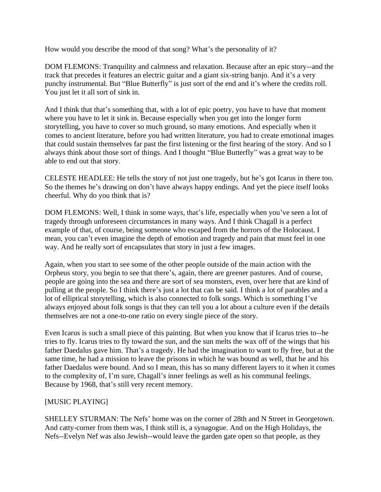How would you describe the mood of that song? What's the personality of it?

DOM FLEMONS: Tranquility and calmness and relaxation. Because after an epic story--and the track that precedes it features an electric guitar and a giant six-string banjo. And it's a very punchy instrumental. But "Blue Butterfly" is just sort of the end and it's where the credits roll. You just let it all sort of sink in.

And I think that that's something that, with a lot of epic poetry, you have to have that moment where you have to let it sink in. Because especially when you get into the longer form storytelling, you have to cover so much ground, so many emotions. And especially when it comes to ancient literature, before you had written literature, you had to create emotional images that could sustain themselves far past the first listening or the first hearing of the story. And so I always think about those sort of things. And I thought "Blue Butterfly" was a great way to be able to end out that story.

CELESTE HEADLEE: He tells the story of not just one tragedy, but he's got Icarus in there too. So the themes he's drawing on don't have always happy endings. And yet the piece itself looks cheerful. Why do you think that is?

DOM FLEMONS: Well, I think in some ways, that's life, especially when you've seen a lot of tragedy through unforeseen circumstances in many ways. And I think Chagall is a perfect example of that, of course, being someone who escaped from the horrors of the Holocaust. I mean, you can't even imagine the depth of emotion and tragedy and pain that must feel in one way. And he really sort of encapsulates that story in just a few images.

Again, when you start to see some of the other people outside of the main action with the Orpheus story, you begin to see that there's, again, there are greener pastures. And of course, people are going into the sea and there are sort of sea monsters, even, over here that are kind of pulling at the people. So I think there's just a lot that can be said. I think a lot of parables and a lot of elliptical storytelling, which is also connected to folk songs. Which is something I've always enjoyed about folk songs is that they can tell you a lot about a culture even if the details themselves are not a one-to-one ratio on every single piece of the story.

Even Icarus is such a small piece of this painting. But when you know that if Icarus tries to--he tries to fly. Icarus tries to fly toward the sun, and the sun melts the wax off of the wings that his father Daedalus gave him. That's a tragedy. He had the imagination to want to fly free, but at the same time, he had a mission to leave the prisons in which he was bound as well, that he and his father Daedalus were bound. And so I mean, this has so many different layers to it when it comes to the complexity of, I'm sure, Chagall's inner feelings as well as his communal feelings. Because by 1968, that's still very recent memory.

## [MUSIC PLAYING]

SHELLEY STURMAN: The Nefs' home was on the corner of 28th and N Street in Georgetown. And catty-corner from them was, I think still is, a synagogue. And on the High Holidays, the Nefs--Evelyn Nef was also Jewish--would leave the garden gate open so that people, as they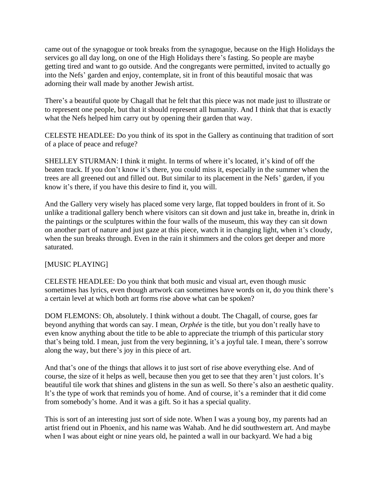came out of the synagogue or took breaks from the synagogue, because on the High Holidays the services go all day long, on one of the High Holidays there's fasting. So people are maybe getting tired and want to go outside. And the congregants were permitted, invited to actually go into the Nefs' garden and enjoy, contemplate, sit in front of this beautiful mosaic that was adorning their wall made by another Jewish artist.

There's a beautiful quote by Chagall that he felt that this piece was not made just to illustrate or to represent one people, but that it should represent all humanity. And I think that that is exactly what the Nefs helped him carry out by opening their garden that way.

CELESTE HEADLEE: Do you think of its spot in the Gallery as continuing that tradition of sort of a place of peace and refuge?

SHELLEY STURMAN: I think it might. In terms of where it's located, it's kind of off the beaten track. If you don't know it's there, you could miss it, especially in the summer when the trees are all greened out and filled out. But similar to its placement in the Nefs' garden, if you know it's there, if you have this desire to find it, you will.

And the Gallery very wisely has placed some very large, flat topped boulders in front of it. So unlike a traditional gallery bench where visitors can sit down and just take in, breathe in, drink in the paintings or the sculptures within the four walls of the museum, this way they can sit down on another part of nature and just gaze at this piece, watch it in changing light, when it's cloudy, when the sun breaks through. Even in the rain it shimmers and the colors get deeper and more saturated.

# [MUSIC PLAYING]

CELESTE HEADLEE: Do you think that both music and visual art, even though music sometimes has lyrics, even though artwork can sometimes have words on it, do you think there's a certain level at which both art forms rise above what can be spoken?

DOM FLEMONS: Oh, absolutely. I think without a doubt. The Chagall, of course, goes far beyond anything that words can say. I mean, *Orphée* is the title, but you don't really have to even know anything about the title to be able to appreciate the triumph of this particular story that's being told. I mean, just from the very beginning, it's a joyful tale. I mean, there's sorrow along the way, but there's joy in this piece of art.

And that's one of the things that allows it to just sort of rise above everything else. And of course, the size of it helps as well, because then you get to see that they aren't just colors. It's beautiful tile work that shines and glistens in the sun as well. So there's also an aesthetic quality. It's the type of work that reminds you of home. And of course, it's a reminder that it did come from somebody's home. And it was a gift. So it has a special quality.

This is sort of an interesting just sort of side note. When I was a young boy, my parents had an artist friend out in Phoenix, and his name was Wahab. And he did southwestern art. And maybe when I was about eight or nine years old, he painted a wall in our backyard. We had a big